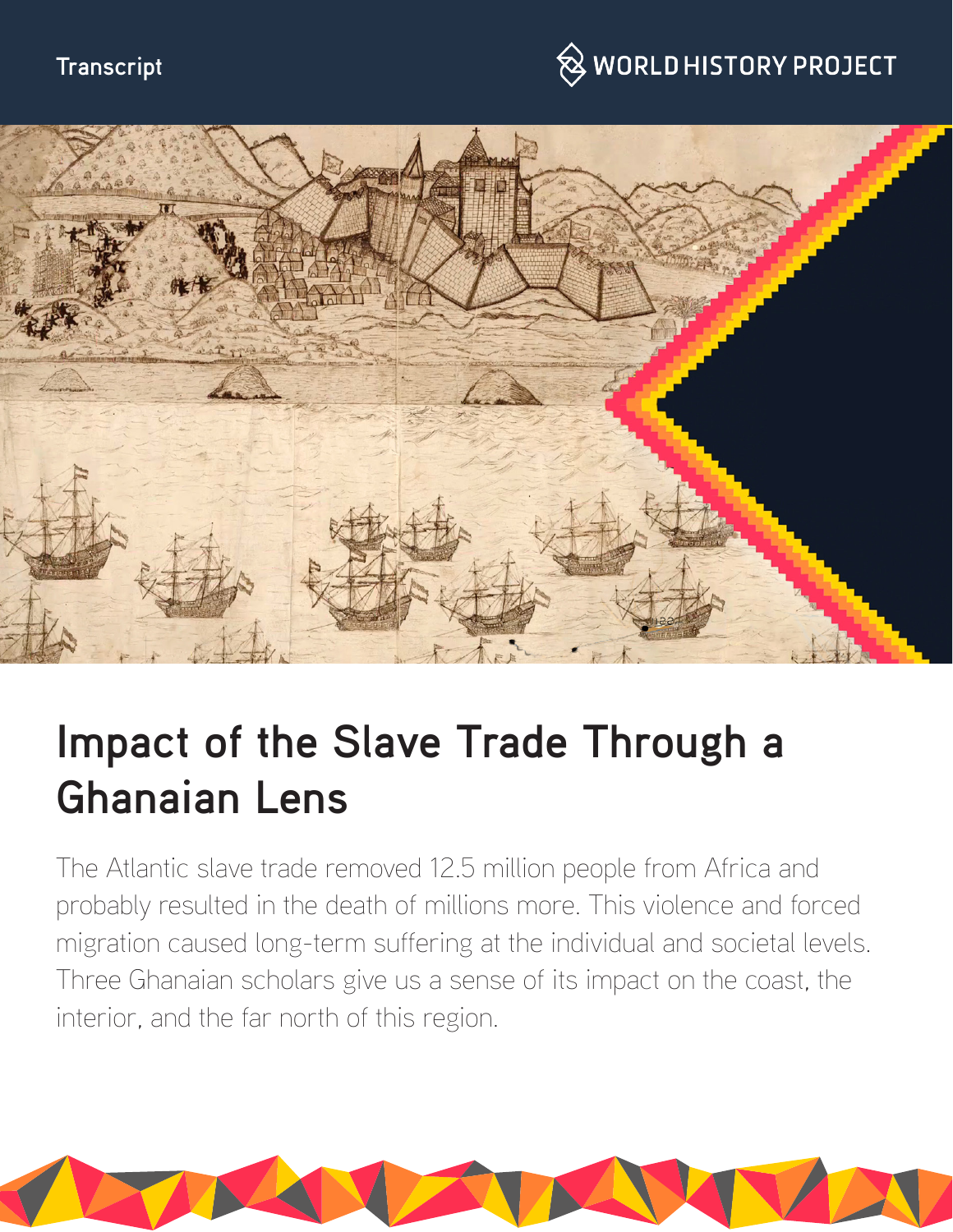#### **Transcript**

## $\hspace{0.1cm}\otimes\hspace{0.1cm}$  WORLD HISTORY PROJECT



# **Impact of the Slave Trade Through a Ghanaian Lens**

The Atlantic slave trade removed 12.5 million people from Africa and probably resulted in the death of millions more. This violence and forced migration caused long-term suffering at the individual and societal levels. Three Ghanaian scholars give us a sense of its impact on the coast, the interior, and the far north of this region.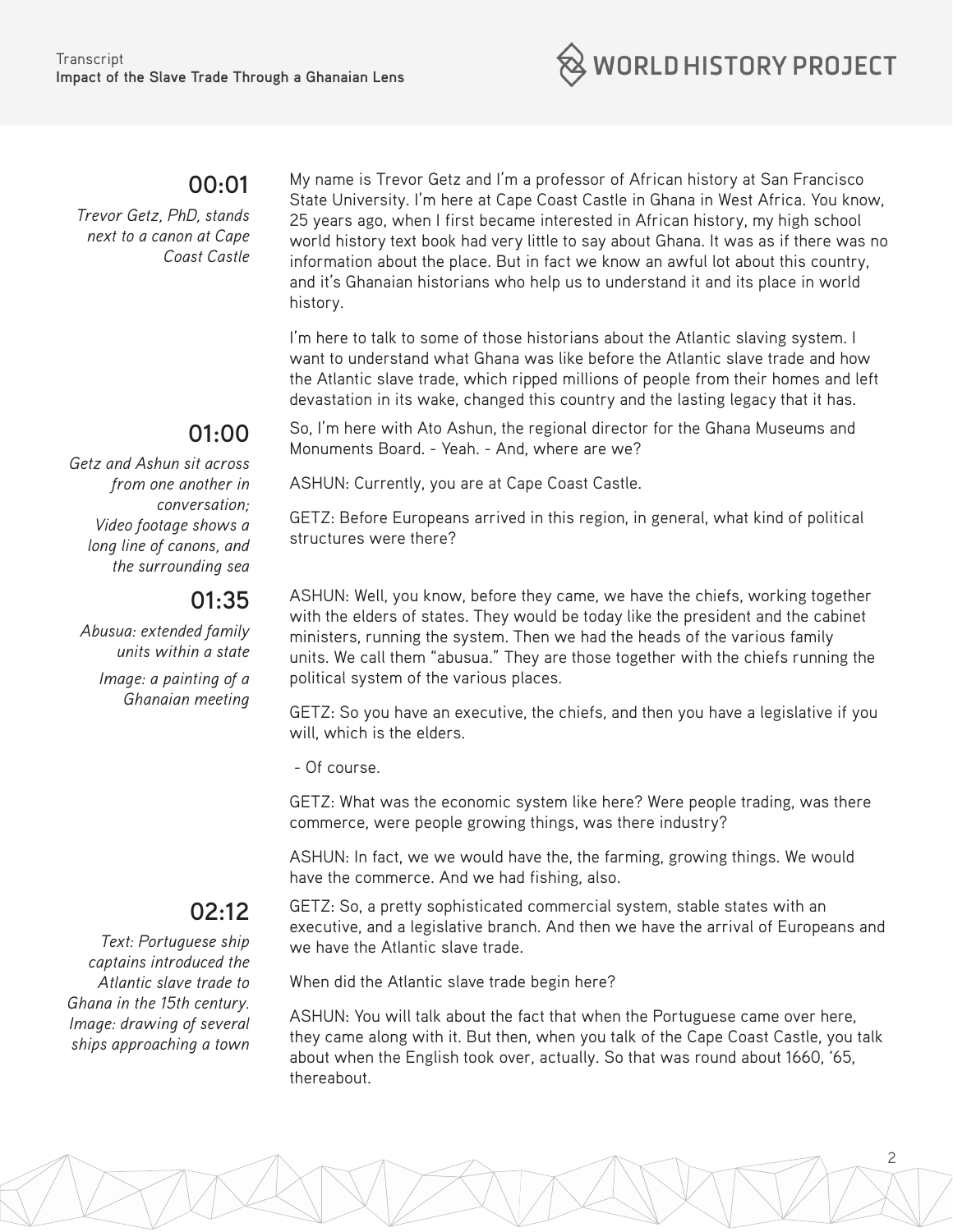

#### **00:01**

*Trevor Getz, PhD, stands next to a canon at Cape Coast Castle*

### **01:00**

*Getz and Ashun sit across from one another in conversation; Video footage shows a long line of canons, and the surrounding sea*

#### **01:35**

*Abusua: extended family units within a state*

*Image: a painting of a Ghanaian meeting* 

ASHUN: Well, you know, before they came, we have the chiefs, working together with the elders of states. They would be today like the president and the cabinet ministers, running the system. Then we had the heads of the various family units. We call them "abusua." They are those together with the chiefs running the political system of the various places.

My name is Trevor Getz and I'm a professor of African history at San Francisco State University. I'm here at Cape Coast Castle in Ghana in West Africa. You know, 25 years ago, when I first became interested in African history, my high school world history text book had very little to say about Ghana. It was as if there was no information about the place. But in fact we know an awful lot about this country, and it's Ghanaian historians who help us to understand it and its place in world

I'm here to talk to some of those historians about the Atlantic slaving system. I want to understand what Ghana was like before the Atlantic slave trade and how the Atlantic slave trade, which ripped millions of people from their homes and left devastation in its wake, changed this country and the lasting legacy that it has.

So, I'm here with Ato Ashun, the regional director for the Ghana Museums and

GETZ: Before Europeans arrived in this region, in general, what kind of political

Monuments Board. - Yeah. - And, where are we?

ASHUN: Currently, you are at Cape Coast Castle.

GETZ: So you have an executive, the chiefs, and then you have a legislative if you will, which is the elders.

- Of course.

structures were there?

history.

GETZ: What was the economic system like here? Were people trading, was there commerce, were people growing things, was there industry?

ASHUN: In fact, we we would have the, the farming, growing things. We would have the commerce. And we had fishing, also.

#### **02:12**

*Text: Portuguese ship captains introduced the Atlantic slave trade to Ghana in the 15th century. Image: drawing of several ships approaching a town* GETZ: So, a pretty sophisticated commercial system, stable states with an executive, and a legislative branch. And then we have the arrival of Europeans and we have the Atlantic slave trade.

When did the Atlantic slave trade begin here?

ASHUN: You will talk about the fact that when the Portuguese came over here, they came along with it. But then, when you talk of the Cape Coast Castle, you talk about when the English took over, actually. So that was round about 1660, '65, thereabout.

2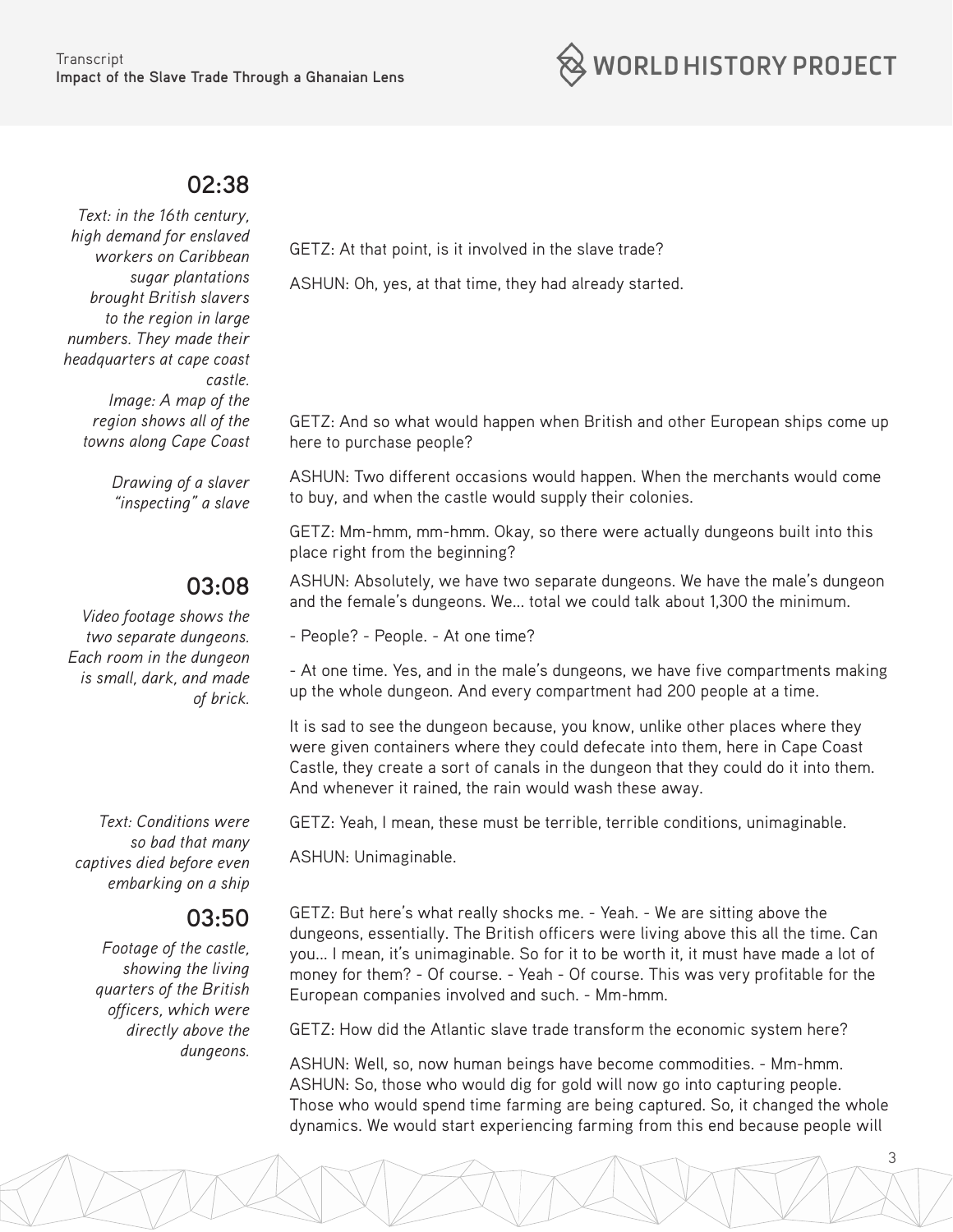

#### **02:38**

*Text: in the 16th century, high demand for enslaved workers on Caribbean sugar plantations brought British slavers to the region in large numbers. They made their headquarters at cape coast castle. Image: A map of the region shows all of the towns along Cape Coast*

> *Drawing of a slaver "inspecting" a slave*

#### **03:08**

*Video footage shows the two separate dungeons. Each room in the dungeon is small, dark, and made of brick.*

*Text: Conditions were so bad that many captives died before even embarking on a ship*

#### **03:50**

*Footage of the castle, showing the living quarters of the British officers, which were directly above the dungeons.*

GETZ: At that point, is it involved in the slave trade?

ASHUN: Oh, yes, at that time, they had already started.

GETZ: And so what would happen when British and other European ships come up here to purchase people?

ASHUN: Two different occasions would happen. When the merchants would come to buy, and when the castle would supply their colonies.

GETZ: Mm-hmm, mm-hmm. Okay, so there were actually dungeons built into this place right from the beginning?

ASHUN: Absolutely, we have two separate dungeons. We have the male's dungeon and the female's dungeons. We... total we could talk about 1,300 the minimum.

- People? - People. - At one time?

- At one time. Yes, and in the male's dungeons, we have five compartments making up the whole dungeon. And every compartment had 200 people at a time.

It is sad to see the dungeon because, you know, unlike other places where they were given containers where they could defecate into them, here in Cape Coast Castle, they create a sort of canals in the dungeon that they could do it into them. And whenever it rained, the rain would wash these away.

GETZ: Yeah, I mean, these must be terrible, terrible conditions, unimaginable.

ASHUN: Unimaginable.

GETZ: But here's what really shocks me. - Yeah. - We are sitting above the dungeons, essentially. The British officers were living above this all the time. Can you... I mean, it's unimaginable. So for it to be worth it, it must have made a lot of money for them? - Of course. - Yeah - Of course. This was very profitable for the European companies involved and such. - Mm-hmm.

GETZ: How did the Atlantic slave trade transform the economic system here?

ASHUN: Well, so, now human beings have become commodities. - Mm-hmm. ASHUN: So, those who would dig for gold will now go into capturing people. Those who would spend time farming are being captured. So, it changed the whole dynamics. We would start experiencing farming from this end because people will

3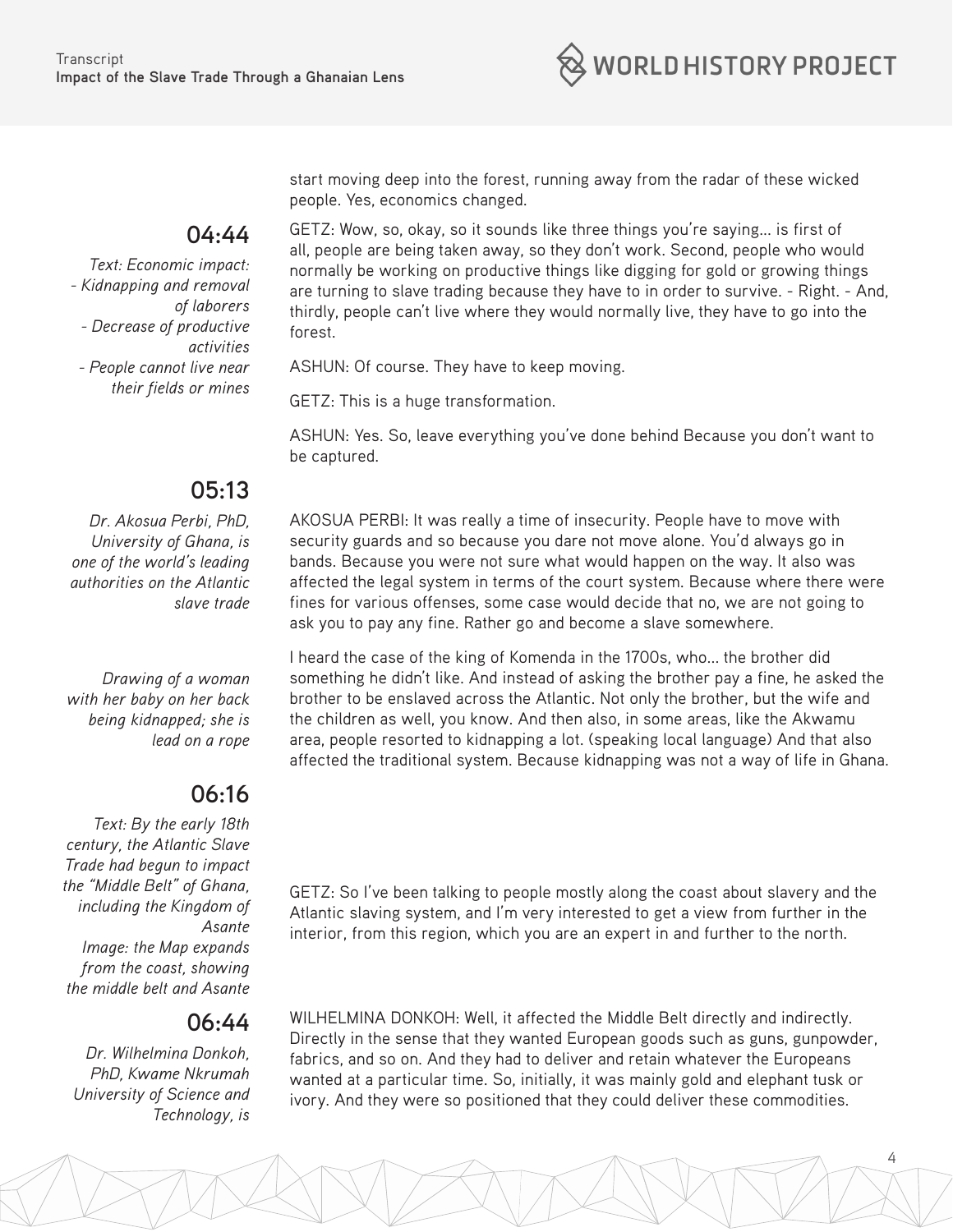

start moving deep into the forest, running away from the radar of these wicked people. Yes, economics changed.

#### **04:44**

*Text: Economic impact: - Kidnapping and removal of laborers - Decrease of productive activities - People cannot live near their fields or mines* GETZ: Wow, so, okay, so it sounds like three things you're saying... is first of all, people are being taken away, so they don't work. Second, people who would normally be working on productive things like digging for gold or growing things are turning to slave trading because they have to in order to survive. - Right. - And, thirdly, people can't live where they would normally live, they have to go into the forest.

ASHUN: Of course. They have to keep moving.

GETZ: This is a huge transformation.

ASHUN: Yes. So, leave everything you've done behind Because you don't want to be captured.

#### **05:13**

*Dr. Akosua Perbi, PhD, University of Ghana, is one of the world's leading authorities on the Atlantic slave trade*

*Drawing of a woman with her baby on her back being kidnapped; she is lead on a rope*

#### **06:16**

*Text: By the early 18th century, the Atlantic Slave Trade had begun to impact the "Middle Belt" of Ghana, including the Kingdom of Asante Image: the Map expands from the coast, showing the middle belt and Asante*

#### **06:44**

*Dr. Wilhelmina Donkoh, PhD, Kwame Nkrumah University of Science and Technology, is*

AKOSUA PERBI: It was really a time of insecurity. People have to move with security guards and so because you dare not move alone. You'd always go in bands. Because you were not sure what would happen on the way. It also was affected the legal system in terms of the court system. Because where there were fines for various offenses, some case would decide that no, we are not going to ask you to pay any fine. Rather go and become a slave somewhere.

I heard the case of the king of Komenda in the 1700s, who... the brother did something he didn't like. And instead of asking the brother pay a fine, he asked the brother to be enslaved across the Atlantic. Not only the brother, but the wife and the children as well, you know. And then also, in some areas, like the Akwamu area, people resorted to kidnapping a lot. (speaking local language) And that also affected the traditional system. Because kidnapping was not a way of life in Ghana.

GETZ: So I've been talking to people mostly along the coast about slavery and the Atlantic slaving system, and I'm very interested to get a view from further in the interior, from this region, which you are an expert in and further to the north.

WILHELMINA DONKOH: Well, it affected the Middle Belt directly and indirectly. Directly in the sense that they wanted European goods such as guns, gunpowder, fabrics, and so on. And they had to deliver and retain whatever the Europeans wanted at a particular time. So, initially, it was mainly gold and elephant tusk or ivory. And they were so positioned that they could deliver these commodities.

4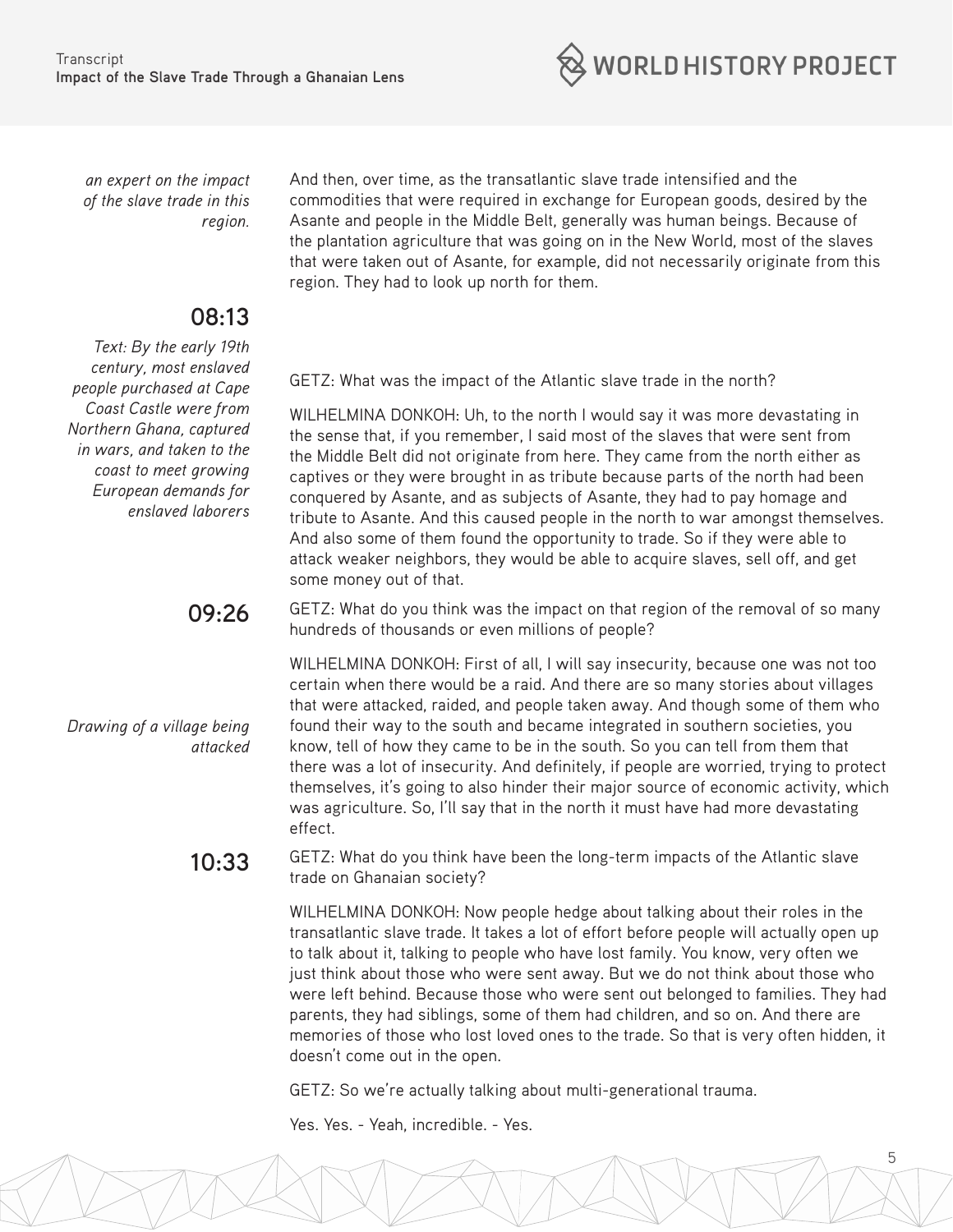

*an expert on the impact of the slave trade in this region.*

#### **08:13**

*Text: By the early 19th century, most enslaved people purchased at Cape Coast Castle were from Northern Ghana, captured in wars, and taken to the coast to meet growing European demands for enslaved laborers*

*Drawing of a village being* 

*attacked*

WILHELMINA DONKOH: Uh, to the north I would say it was more devastating in

GETZ: What was the impact of the Atlantic slave trade in the north?

And then, over time, as the transatlantic slave trade intensified and the

region. They had to look up north for them.

commodities that were required in exchange for European goods, desired by the Asante and people in the Middle Belt, generally was human beings. Because of the plantation agriculture that was going on in the New World, most of the slaves that were taken out of Asante, for example, did not necessarily originate from this

the sense that, if you remember, I said most of the slaves that were sent from the Middle Belt did not originate from here. They came from the north either as captives or they were brought in as tribute because parts of the north had been conquered by Asante, and as subjects of Asante, they had to pay homage and tribute to Asante. And this caused people in the north to war amongst themselves. And also some of them found the opportunity to trade. So if they were able to attack weaker neighbors, they would be able to acquire slaves, sell off, and get some money out of that.

**09:26** GETZ: What do you think was the impact on that region of the removal of so many hundreds of thousands or even millions of people?

> WILHELMINA DONKOH: First of all, I will say insecurity, because one was not too certain when there would be a raid. And there are so many stories about villages that were attacked, raided, and people taken away. And though some of them who found their way to the south and became integrated in southern societies, you know, tell of how they came to be in the south. So you can tell from them that there was a lot of insecurity. And definitely, if people are worried, trying to protect themselves, it's going to also hinder their major source of economic activity, which was agriculture. So, I'll say that in the north it must have had more devastating effect.

**10:33** GETZ: What do you think have been the long-term impacts of the Atlantic slave trade on Ghanaian society?

> WILHELMINA DONKOH: Now people hedge about talking about their roles in the transatlantic slave trade. It takes a lot of effort before people will actually open up to talk about it, talking to people who have lost family. You know, very often we just think about those who were sent away. But we do not think about those who were left behind. Because those who were sent out belonged to families. They had parents, they had siblings, some of them had children, and so on. And there are memories of those who lost loved ones to the trade. So that is very often hidden, it doesn't come out in the open.

> > 5

GETZ: So we're actually talking about multi-generational trauma.

Yes. Yes. - Yeah, incredible. - Yes.